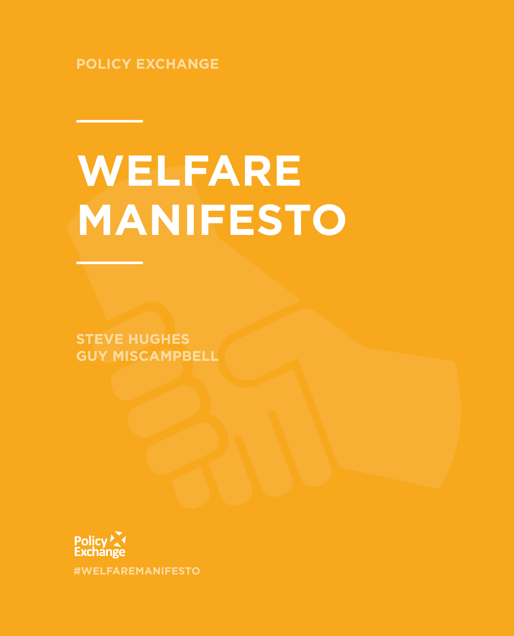**POLICY EXCHANGE**

# **WELFARE MANIFESTO**

**STEVE HUGHES GUY MISCAMPBELL** 

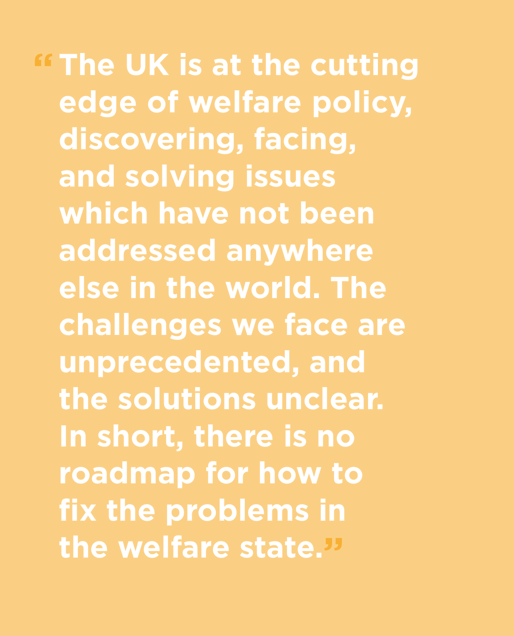**The UK is at the cutting "edge of welfare policy, discovering, facing, and solving issues which have not been addressed anywhere else in the world. The challenges we face are unprecedented, and the solutions unclear. In short, there is no roadmap for how to fix the problems in the welfare state."**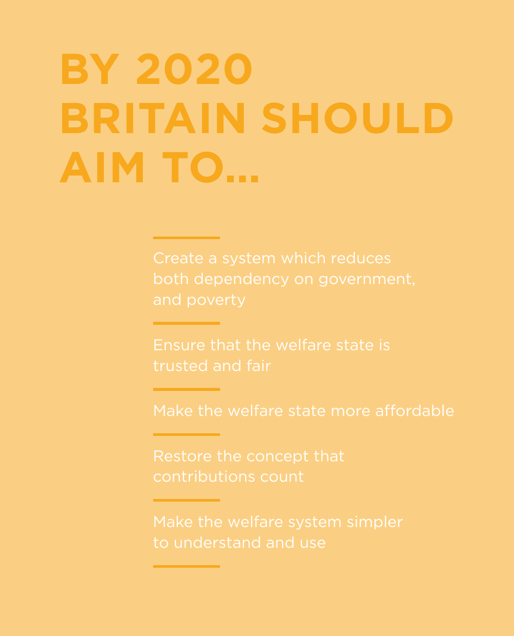# **BY 2020 BRITAIN SHOULD AIM TO…**

both dependency on government,

Ensure that the welfare state is trusted and fair

Make the welfare state more affordable

contributions count

to understand and use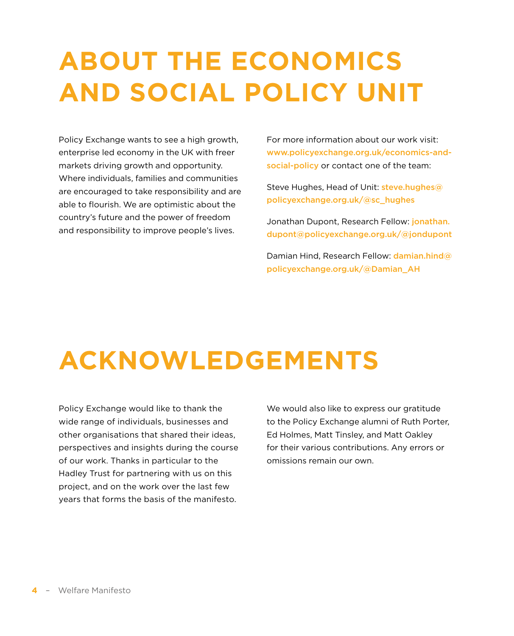## **ABOUT THE ECONOMICS AND SOCIAL POLICY UNIT**

Policy Exchange wants to see a high growth, enterprise led economy in the UK with freer markets driving growth and opportunity. Where individuals, families and communities are encouraged to take responsibility and are able to flourish. We are optimistic about the country's future and the power of freedom and responsibility to improve people's lives.

For more information about our work visit: [www.policyexchange.org.uk/economics-](http://www.policyexchange.org.uk/economics)andsocial-policy or contact one of the team:

Steve Hughes, Head of Unit: [steve.hughes@](mailto:steve.hughes@policyexchange.org.uk) [policyexchange.org.uk/](mailto:steve.hughes@policyexchange.org.uk)@sc\_hughes

Jonathan Dupont, Research Fellow: [jonathan.](mailto:jonathan.dupont@policyexchange.org.uk) [dupont@policyexchange.org.uk/](mailto:jonathan.dupont@policyexchange.org.uk)@jondupont

Damian Hind, Research Fellow: [damian.hind@](mailto:damian.hind@policyexchange.org.uk) [policyexchange.org.uk/](mailto:damian.hind@policyexchange.org.uk)@Damian\_AH

## **ACKNOWLEDGEMENTS**

Policy Exchange would like to thank the wide range of individuals, businesses and other organisations that shared their ideas, perspectives and insights during the course of our work. Thanks in particular to the Hadley Trust for partnering with us on this project, and on the work over the last few years that forms the basis of the manifesto.

We would also like to express our gratitude to the Policy Exchange alumni of Ruth Porter, Ed Holmes, Matt Tinsley, and Matt Oakley for their various contributions. Any errors or omissions remain our own.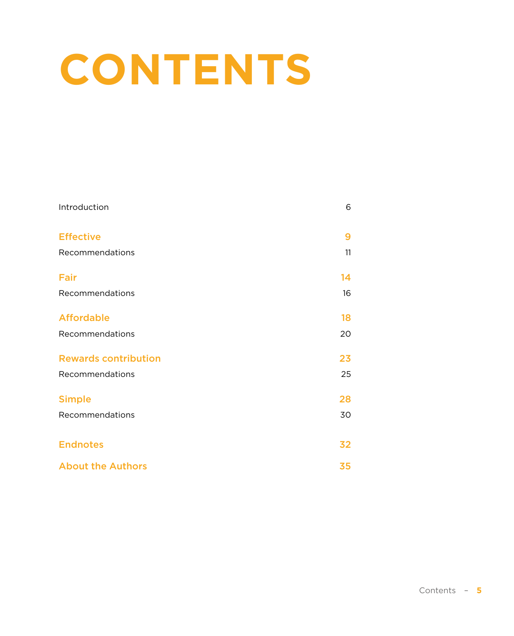## **CONTENTS**

| Introduction                | 6  |
|-----------------------------|----|
| <b>Effective</b>            | 9  |
| Recommendations             | 11 |
| Fair                        | 14 |
| Recommendations             | 16 |
| <b>Affordable</b>           | 18 |
| Recommendations             | 20 |
| <b>Rewards contribution</b> | 23 |
| Recommendations             | 25 |
| <b>Simple</b>               | 28 |
| Recommendations             | 30 |
|                             |    |
| <b>Endnotes</b>             | 32 |
| <b>About the Authors</b>    | 35 |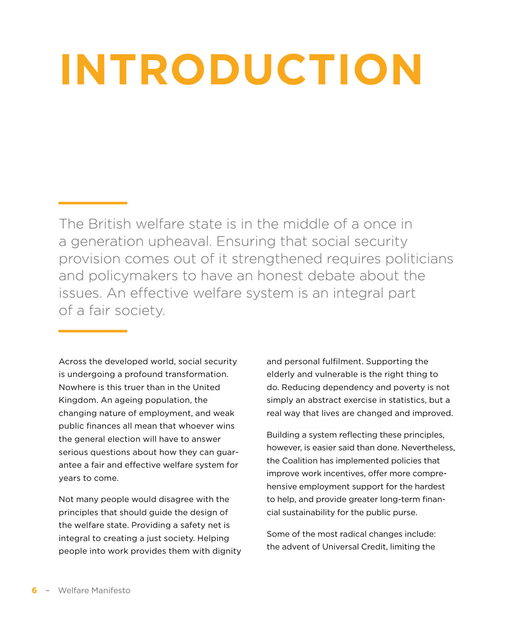## <span id="page-5-0"></span>**INTRODUCTION**

The British welfare state is in the middle of a once in a generation upheaval. Ensuring that social security provision comes out of it strengthened requires politicians and policymakers to have an honest debate about the issues. An effective welfare system is an integral part of a fair society.

Across the developed world, social security is undergoing a profound transformation. Nowhere is this truer than in the United Kingdom. An ageing population, the changing nature of employment, and weak public finances all mean that whoever wins the general election will have to answer serious questions about how they can guarantee a fair and effective welfare system for years to come.

Not many people would disagree with the principles that should guide the design of the welfare state. Providing a safety net is integral to creating a just society. Helping people into work provides them with dignity and personal fulfilment. Supporting the elderly and vulnerable is the right thing to do. Reducing dependency and poverty is not simply an abstract exercise in statistics, but a real way that lives are changed and improved.

Building a system reflecting these principles, however, is easier said than done. Nevertheless, the Coalition has implemented policies that improve work incentives, offer more comprehensive employment support for the hardest to help, and provide greater long-term financial sustainability for the public purse.

Some of the most radical changes include: the advent of Universal Credit, limiting the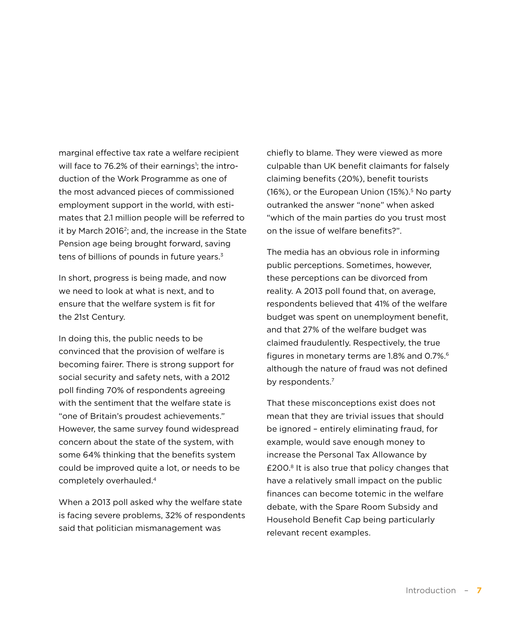marginal effective tax rate a welfare recipient will face to 76.2% of their earnings<sup>1</sup>; the introduction of the Work Programme as one of the most advanced pieces of commissioned employment support in the world, with estimates that 2.1 million people will be referred to it by March 20162; and, the increase in the State Pension age being brought forward, saving tens of billions of pounds in future years.<sup>3</sup>

In short, progress is being made, and now we need to look at what is next, and to ensure that the welfare system is fit for the 21st Century.

In doing this, the public needs to be convinced that the provision of welfare is becoming fairer. There is strong support for social security and safety nets, with a 2012 poll finding 70% of respondents agreeing with the sentiment that the welfare state is "one of Britain's proudest achievements." However, the same survey found widespread concern about the state of the system, with some 64% thinking that the benefits system could be improved quite a lot, or needs to be completely overhauled.4

When a 2013 poll asked why the welfare state is facing severe problems, 32% of respondents said that politician mismanagement was

chiefly to blame. They were viewed as more culpable than UK benefit claimants for falsely claiming benefits (20%), benefit tourists (16%), or the European Union  $(15\%)$ <sup>5</sup> No party outranked the answer "none" when asked "which of the main parties do you trust most on the issue of welfare benefits?".

The media has an obvious role in informing public perceptions. Sometimes, however, these perceptions can be divorced from reality. A 2013 poll found that, on average, respondents believed that 41% of the welfare budget was spent on unemployment benefit, and that 27% of the welfare budget was claimed fraudulently. Respectively, the true figures in monetary terms are 1.8% and 0.7%.<sup>6</sup> although the nature of fraud was not defined by respondents.<sup>7</sup>

That these misconceptions exist does not mean that they are trivial issues that should be ignored – entirely eliminating fraud, for example, would save enough money to increase the Personal Tax Allowance by £200.8 It is also true that policy changes that have a relatively small impact on the public finances can become totemic in the welfare debate, with the Spare Room Subsidy and Household Benefit Cap being particularly relevant recent examples.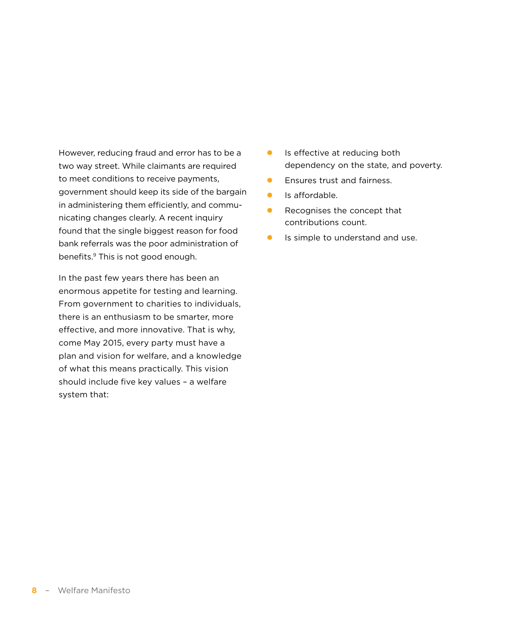However, reducing fraud and error has to be a two way street. While claimants are required to meet conditions to receive payments, government should keep its side of the bargain in administering them efficiently, and communicating changes clearly. A recent inquiry found that the single biggest reason for food bank referrals was the poor administration of benefits.9 This is not good enough.

In the past few years there has been an enormous appetite for testing and learning. From government to charities to individuals, there is an enthusiasm to be smarter, more effective, and more innovative. That is why, come May 2015, every party must have a plan and vision for welfare, and a knowledge of what this means practically. This vision should include five key values – a welfare system that:

- $\bullet$  Is effective at reducing both dependency on the state, and poverty.
- **•** Ensures trust and fairness.
- $\bullet$  Is affordable.
- $\bullet$  Recognises the concept that contributions count.
- $\bullet$  Is simple to understand and use.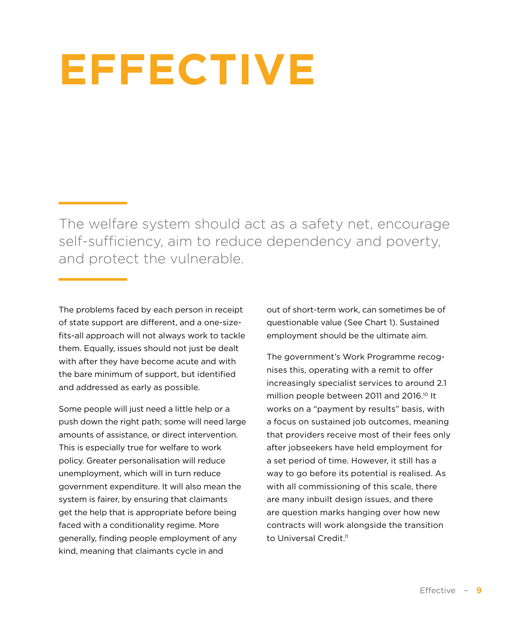## <span id="page-8-0"></span>**EFFECTIVE**

The welfare system should act as a safety net, encourage self-sufficiency, aim to reduce dependency and poverty, and protect the vulnerable.

The problems faced by each person in receipt of state support are different, and a one-sizefits-all approach will not always work to tackle them. Equally, issues should not just be dealt with after they have become acute and with the bare minimum of support, but identified and addressed as early as possible.

Some people will just need a little help or a push down the right path; some will need large amounts of assistance, or direct intervention. This is especially true for welfare to work policy. Greater personalisation will reduce unemployment, which will in turn reduce government expenditure. It will also mean the system is fairer, by ensuring that claimants get the help that is appropriate before being faced with a conditionality regime. More generally, finding people employment of any kind, meaning that claimants cycle in and

out of short-term work, can sometimes be of questionable value (See Chart 1). Sustained employment should be the ultimate aim.

The government's Work Programme recognises this, operating with a remit to offer increasingly specialist services to around 2.1 million people between 2011 and 2016.<sup>10</sup> It works on a "payment by results" basis, with a focus on sustained job outcomes, meaning that providers receive most of their fees only after jobseekers have held employment for a set period of time. However, it still has a way to go before its potential is realised. As with all commissioning of this scale, there are many inbuilt design issues, and there are question marks hanging over how new contracts will work alongside the transition to Universal Credit.<sup>11</sup>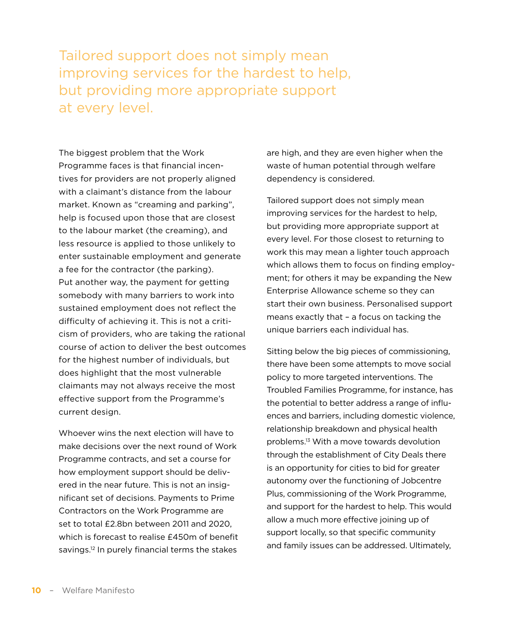Tailored support does not simply mean improving services for the hardest to help, but providing more appropriate support at every level.

The biggest problem that the Work Programme faces is that financial incentives for providers are not properly aligned with a claimant's distance from the labour market. Known as "creaming and parking", help is focused upon those that are closest to the labour market (the creaming), and less resource is applied to those unlikely to enter sustainable employment and generate a fee for the contractor (the parking). Put another way, the payment for getting somebody with many barriers to work into sustained employment does not reflect the difficulty of achieving it. This is not a criticism of providers, who are taking the rational course of action to deliver the best outcomes for the highest number of individuals, but does highlight that the most vulnerable claimants may not always receive the most effective support from the Programme's current design.

Whoever wins the next election will have to make decisions over the next round of Work Programme contracts, and set a course for how employment support should be delivered in the near future. This is not an insignificant set of decisions. Payments to Prime Contractors on the Work Programme are set to total £2.8bn between 2011 and 2020, which is forecast to realise £450m of benefit savings.12 In purely financial terms the stakes

are high, and they are even higher when the waste of human potential through welfare dependency is considered.

Tailored support does not simply mean improving services for the hardest to help, but providing more appropriate support at every level. For those closest to returning to work this may mean a lighter touch approach which allows them to focus on finding employment; for others it may be expanding the New Enterprise Allowance scheme so they can start their own business. Personalised support means exactly that – a focus on tacking the unique barriers each individual has.

Sitting below the big pieces of commissioning, there have been some attempts to move social policy to more targeted interventions. The Troubled Families Programme, for instance, has the potential to better address a range of influences and barriers, including domestic violence, relationship breakdown and physical health problems.13 With a move towards devolution through the establishment of City Deals there is an opportunity for cities to bid for greater autonomy over the functioning of Jobcentre Plus, commissioning of the Work Programme, and support for the hardest to help. This would allow a much more effective joining up of support locally, so that specific community and family issues can be addressed. Ultimately,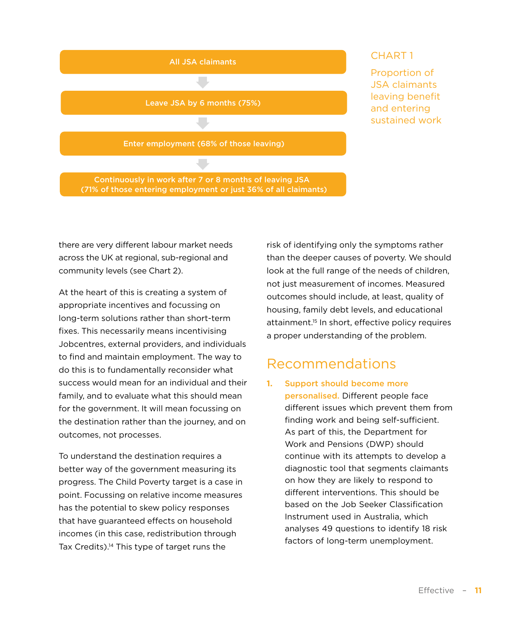<span id="page-10-0"></span>

### CHART 1

Proportion of JSA claimants leaving benefit and entering sustained work

there are very different labour market needs across the UK at regional, sub-regional and community levels (see Chart 2).

At the heart of this is creating a system of appropriate incentives and focussing on long-term solutions rather than short-term fixes. This necessarily means incentivising Jobcentres, external providers, and individuals to find and maintain employment. The way to do this is to fundamentally reconsider what success would mean for an individual and their family, and to evaluate what this should mean for the government. It will mean focussing on the destination rather than the journey, and on outcomes, not processes.

To understand the destination requires a better way of the government measuring its progress. The Child Poverty target is a case in point. Focussing on relative income measures has the potential to skew policy responses that have guaranteed effects on household incomes (in this case, redistribution through Tax Credits).<sup>14</sup> This type of target runs the

risk of identifying only the symptoms rather than the deeper causes of poverty. We should look at the full range of the needs of children, not just measurement of incomes. Measured outcomes should include, at least, quality of housing, family debt levels, and educational attainment.15 In short, effective policy requires a proper understanding of the problem.

### Recommendations

**1.** Support should become more personalised. Different people face different issues which prevent them from finding work and being self-sufficient. As part of this, the Department for Work and Pensions (DWP) should continue with its attempts to develop a diagnostic tool that segments claimants on how they are likely to respond to different interventions. This should be based on the Job Seeker Classification Instrument used in Australia, which analyses 49 questions to identify 18 risk factors of long-term unemployment.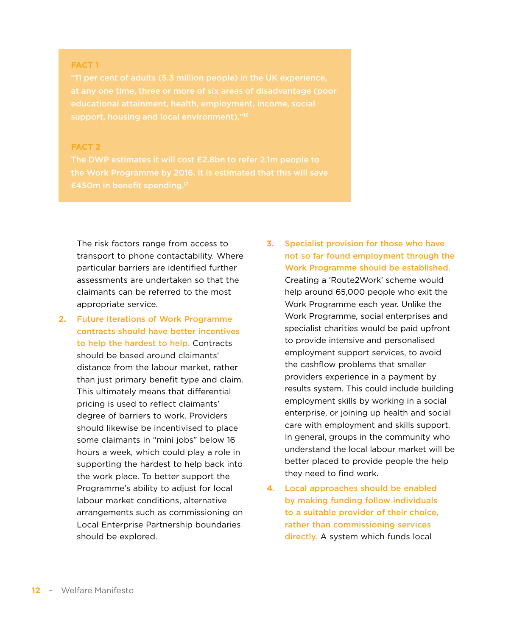#### **FACT 1**

"11 per cent of adults (5.3 million people) in the UK experience,

#### **FACT 2**

The risk factors range from access to transport to phone contactability. Where particular barriers are identified further assessments are undertaken so that the claimants can be referred to the most appropriate service.

- **2.** Future iterations of Work Programme contracts should have better incentives to help the hardest to help. Contracts should be based around claimants' distance from the labour market, rather than just primary benefit type and claim. This ultimately means that differential pricing is used to reflect claimants' degree of barriers to work. Providers should likewise be incentivised to place some claimants in "mini jobs" below 16 hours a week, which could play a role in supporting the hardest to help back into the work place. To better support the Programme's ability to adjust for local labour market conditions, alternative arrangements such as commissioning on Local Enterprise Partnership boundaries should be explored.
- **3.** Specialist provision for those who have not so far found employment through the Work Programme should be established. Creating a 'Route2Work' scheme would help around 65,000 people who exit the Work Programme each year. Unlike the Work Programme, social enterprises and specialist charities would be paid upfront to provide intensive and personalised employment support services, to avoid the cashflow problems that smaller providers experience in a payment by results system. This could include building employment skills by working in a social enterprise, or joining up health and social care with employment and skills support. In general, groups in the community who understand the local labour market will be better placed to provide people the help they need to find work.
- **4.** Local approaches should be enabled by making funding follow individuals to a suitable provider of their choice, rather than commissioning services directly. A system which funds local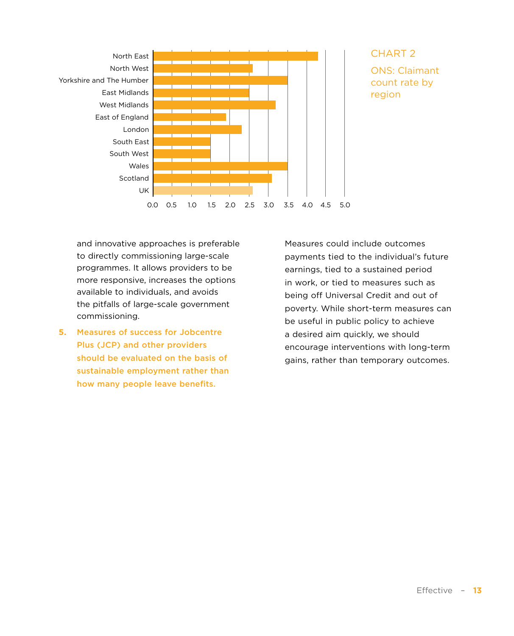

### CHART 2 ONS: Claimant count rate by region

and innovative approaches is preferable to directly commissioning large-scale programmes. It allows providers to be more responsive, increases the options available to individuals, and avoids the pitfalls of large-scale government commissioning.

**5.** Measures of success for Jobcentre Plus (JCP) and other providers should be evaluated on the basis of sustainable employment rather than how many people leave benefits.

Measures could include outcomes payments tied to the individual's future earnings, tied to a sustained period in work, or tied to measures such as being off Universal Credit and out of poverty. While short-term measures can be useful in public policy to achieve a desired aim quickly, we should encourage interventions with long-term gains, rather than temporary outcomes.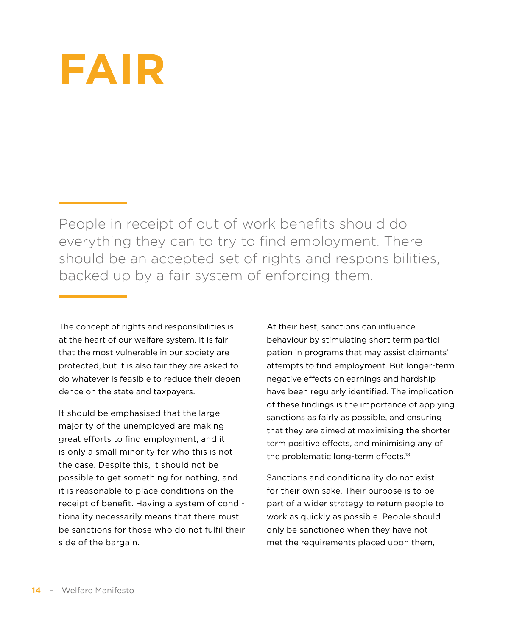## <span id="page-13-0"></span>**FAIR**

People in receipt of out of work benefits should do everything they can to try to find employment. There should be an accepted set of rights and responsibilities, backed up by a fair system of enforcing them.

The concept of rights and responsibilities is at the heart of our welfare system. It is fair that the most vulnerable in our society are protected, but it is also fair they are asked to do whatever is feasible to reduce their dependence on the state and taxpayers.

It should be emphasised that the large majority of the unemployed are making great efforts to find employment, and it is only a small minority for who this is not the case. Despite this, it should not be possible to get something for nothing, and it is reasonable to place conditions on the receipt of benefit. Having a system of conditionality necessarily means that there must be sanctions for those who do not fulfil their side of the bargain.

At their best, sanctions can influence behaviour by stimulating short term participation in programs that may assist claimants' attempts to find employment. But longer-term negative effects on earnings and hardship have been regularly identified. The implication of these findings is the importance of applying sanctions as fairly as possible, and ensuring that they are aimed at maximising the shorter term positive effects, and minimising any of the problematic long-term effects.<sup>18</sup>

Sanctions and conditionality do not exist for their own sake. Their purpose is to be part of a wider strategy to return people to work as quickly as possible. People should only be sanctioned when they have not met the requirements placed upon them,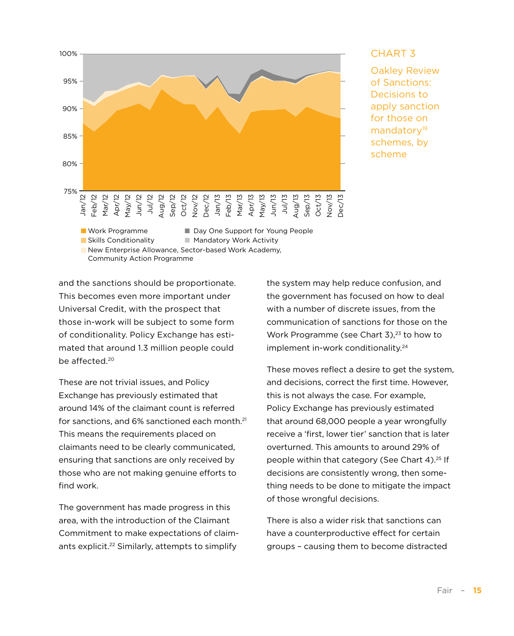

#### CHART 3

Oakley Review of Sanctions: Decisions to apply sanction for those on mandatory<sup>19</sup> schemes, by scheme

and the sanctions should be proportionate. This becomes even more important under Universal Credit, with the prospect that those in-work will be subject to some form of conditionality. Policy Exchange has estimated that around 1.3 million people could be affected.<sup>20</sup>

These are not trivial issues, and Policy Exchange has previously estimated that around 14% of the claimant count is referred for sanctions, and 6% sanctioned each month.<sup>21</sup> This means the requirements placed on claimants need to be clearly communicated, ensuring that sanctions are only received by those who are not making genuine efforts to find work.

The government has made progress in this area, with the introduction of the Claimant Commitment to make expectations of claimants explicit.<sup>22</sup> Similarly, attempts to simplify

the system may help reduce confusion, and the government has focused on how to deal with a number of discrete issues, from the communication of sanctions for those on the Work Programme (see Chart  $3$ ),<sup>23</sup> to how to implement in-work conditionality.<sup>24</sup>

These moves reflect a desire to get the system, and decisions, correct the first time. However, this is not always the case. For example, Policy Exchange has previously estimated that around 68,000 people a year wrongfully receive a 'first, lower tier' sanction that is later overturned. This amounts to around 29% of people within that category (See Chart 4).25 If decisions are consistently wrong, then something needs to be done to mitigate the impact of those wrongful decisions.

There is also a wider risk that sanctions can have a counterproductive effect for certain groups – causing them to become distracted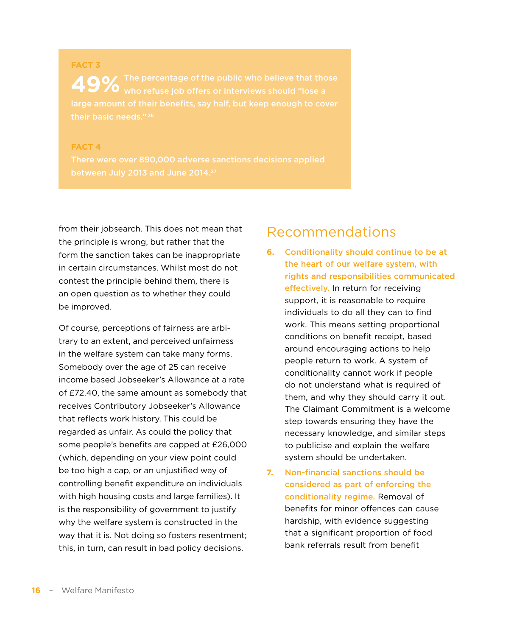## <span id="page-15-0"></span>**FACT 3 49%** The percentage of the public who believe that tho<br>**49%** who refuse job offers or interviews should "lose a their basic needs." 26

#### **FACT 4**

from their jobsearch. This does not mean that the principle is wrong, but rather that the form the sanction takes can be inappropriate in certain circumstances. Whilst most do not contest the principle behind them, there is an open question as to whether they could be improved.

Of course, perceptions of fairness are arbitrary to an extent, and perceived unfairness in the welfare system can take many forms. Somebody over the age of 25 can receive income based Jobseeker's Allowance at a rate of £72.40, the same amount as somebody that receives Contributory Jobseeker's Allowance that reflects work history. This could be regarded as unfair. As could the policy that some people's benefits are capped at £26,000 (which, depending on your view point could be too high a cap, or an unjustified way of controlling benefit expenditure on individuals with high housing costs and large families). It is the responsibility of government to justify why the welfare system is constructed in the way that it is. Not doing so fosters resentment; this, in turn, can result in bad policy decisions.

### Recommendations

- **6.** Conditionality should continue to be at the heart of our welfare system, with rights and responsibilities communicated effectively. In return for receiving support, it is reasonable to require individuals to do all they can to find work. This means setting proportional conditions on benefit receipt, based around encouraging actions to help people return to work. A system of conditionality cannot work if people do not understand what is required of them, and why they should carry it out. The Claimant Commitment is a welcome step towards ensuring they have the necessary knowledge, and similar steps to publicise and explain the welfare system should be undertaken.
- **7.** Non-financial sanctions should be considered as part of enforcing the conditionality regime. Removal of benefits for minor offences can cause hardship, with evidence suggesting that a significant proportion of food bank referrals result from benefit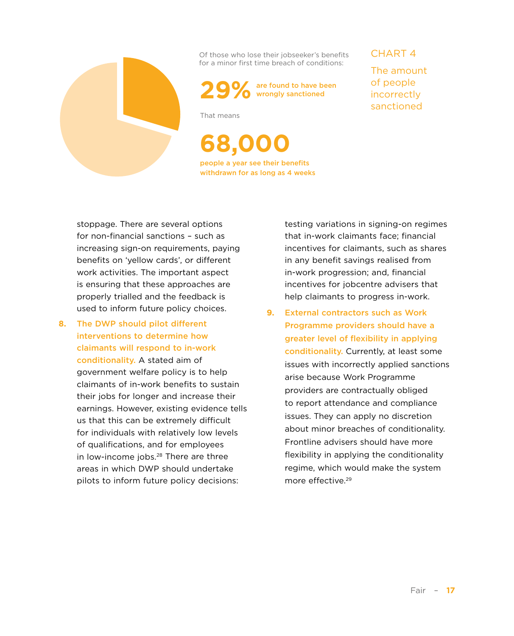

Of those who lose their jobseeker's benefits for a minor first time breach of conditions:



That means

**68,000** people a year see their benefits withdrawn for as long as 4 weeks CHART 4

The amount of people incorrectly sanctioned

stoppage. There are several options for non-financial sanctions – such as increasing sign-on requirements, paying benefits on 'yellow cards', or different work activities. The important aspect is ensuring that these approaches are properly trialled and the feedback is used to inform future policy choices.

**8.** The DWP should pilot different interventions to determine how claimants will respond to in-work conditionality. A stated aim of government welfare policy is to help claimants of in-work benefits to sustain their jobs for longer and increase their earnings. However, existing evidence tells us that this can be extremely difficult for individuals with relatively low levels of qualifications, and for employees in low-income jobs.<sup>28</sup> There are three areas in which DWP should undertake pilots to inform future policy decisions:

testing variations in signing-on regimes that in-work claimants face; financial incentives for claimants, such as shares in any benefit savings realised from in-work progression; and, financial incentives for jobcentre advisers that help claimants to progress in-work.

**9.** External contractors such as Work Programme providers should have a greater level of flexibility in applying conditionality. Currently, at least some issues with incorrectly applied sanctions arise because Work Programme providers are contractually obliged to report attendance and compliance issues. They can apply no discretion about minor breaches of conditionality. Frontline advisers should have more flexibility in applying the conditionality regime, which would make the system more effective.29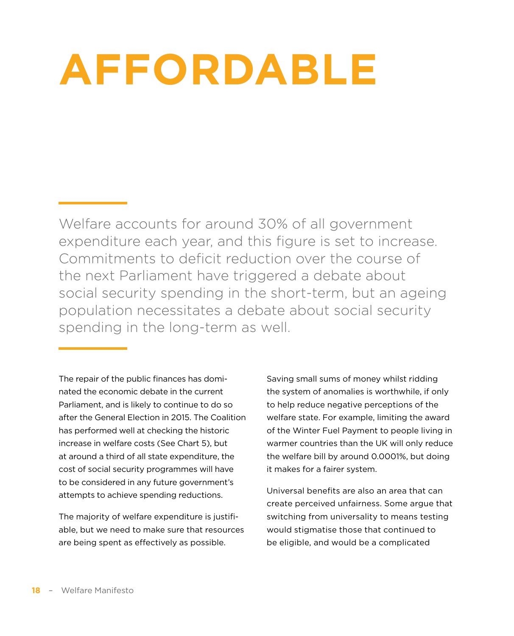## <span id="page-17-0"></span>**AFFORDABLE**

Welfare accounts for around 30% of all government expenditure each year, and this figure is set to increase. Commitments to deficit reduction over the course of the next Parliament have triggered a debate about social security spending in the short-term, but an ageing population necessitates a debate about social security spending in the long-term as well.

The repair of the public finances has dominated the economic debate in the current Parliament, and is likely to continue to do so after the General Election in 2015. The Coalition has performed well at checking the historic increase in welfare costs (See Chart 5), but at around a third of all state expenditure, the cost of social security programmes will have to be considered in any future government's attempts to achieve spending reductions.

The majority of welfare expenditure is justifiable, but we need to make sure that resources are being spent as effectively as possible.

Saving small sums of money whilst ridding the system of anomalies is worthwhile, if only to help reduce negative perceptions of the welfare state. For example, limiting the award of the Winter Fuel Payment to people living in warmer countries than the UK will only reduce the welfare bill by around 0.0001%, but doing it makes for a fairer system.

Universal benefits are also an area that can create perceived unfairness. Some argue that switching from universality to means testing would stigmatise those that continued to be eligible, and would be a complicated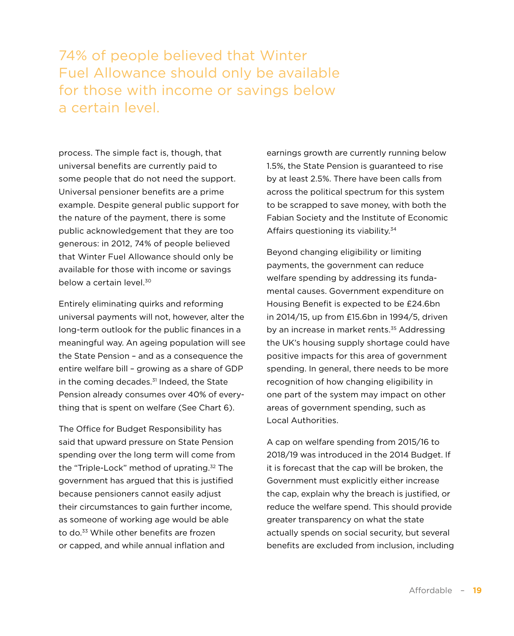74% of people believed that Winter Fuel Allowance should only be available for those with income or savings below a certain level.

process. The simple fact is, though, that universal benefits are currently paid to some people that do not need the support. Universal pensioner benefits are a prime example. Despite general public support for the nature of the payment, there is some public acknowledgement that they are too generous: in 2012, 74% of people believed that Winter Fuel Allowance should only be available for those with income or savings below a certain level.30

Entirely eliminating quirks and reforming universal payments will not, however, alter the long-term outlook for the public finances in a meaningful way. An ageing population will see the State Pension – and as a consequence the entire welfare bill – growing as a share of GDP in the coming decades. $31$  Indeed, the State Pension already consumes over 40% of everything that is spent on welfare (See Chart 6).

The Office for Budget Responsibility has said that upward pressure on State Pension spending over the long term will come from the "Triple-Lock" method of uprating.32 The government has argued that this is justified because pensioners cannot easily adjust their circumstances to gain further income, as someone of working age would be able to do.33 While other benefits are frozen or capped, and while annual inflation and

earnings growth are currently running below 1.5%, the State Pension is guaranteed to rise by at least 2.5%. There have been calls from across the political spectrum for this system to be scrapped to save money, with both the Fabian Society and the Institute of Economic Affairs questioning its viability.<sup>34</sup>

Beyond changing eligibility or limiting payments, the government can reduce welfare spending by addressing its fundamental causes. Government expenditure on Housing Benefit is expected to be £24.6bn in 2014/15, up from £15.6bn in 1994/5, driven by an increase in market rents.<sup>35</sup> Addressing the UK's housing supply shortage could have positive impacts for this area of government spending. In general, there needs to be more recognition of how changing eligibility in one part of the system may impact on other areas of government spending, such as Local Authorities.

A cap on welfare spending from 2015/16 to 2018/19 was introduced in the 2014 Budget. If it is forecast that the cap will be broken, the Government must explicitly either increase the cap, explain why the breach is justified, or reduce the welfare spend. This should provide greater transparency on what the state actually spends on social security, but several benefits are excluded from inclusion, including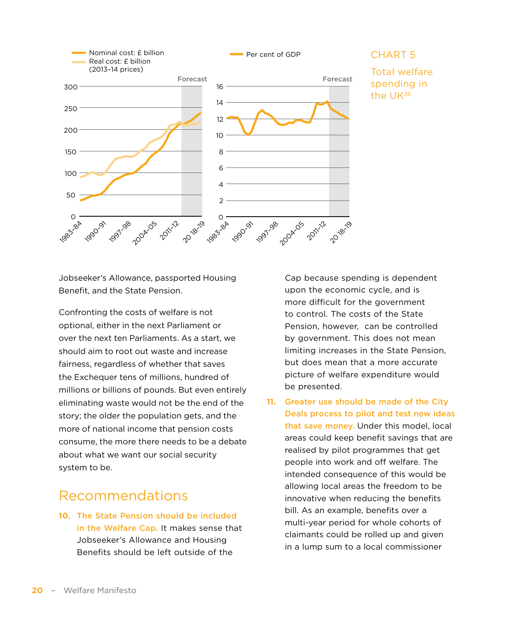<span id="page-19-0"></span>

## Total welfare spending in

Jobseeker's Allowance, passported Housing Benefit, and the State Pension.

Confronting the costs of welfare is not optional, either in the next Parliament or over the next ten Parliaments. As a start, we should aim to root out waste and increase fairness, regardless of whether that saves the Exchequer tens of millions, hundred of millions or billions of pounds. But even entirely eliminating waste would not be the end of the story; the older the population gets, and the more of national income that pension costs consume, the more there needs to be a debate about what we want our social security system to be.

## Recommendations

**10.** The State Pension should be included in the Welfare Cap. It makes sense that Jobseeker's Allowance and Housing Benefits should be left outside of the

Cap because spending is dependent upon the economic cycle, and is more difficult for the government to control. The costs of the State Pension, however, can be controlled by government. This does not mean limiting increases in the State Pension, but does mean that a more accurate picture of welfare expenditure would be presented.

**11.** Greater use should be made of the City Deals process to pilot and test new ideas that save money. Under this model, local areas could keep benefit savings that are realised by pilot programmes that get people into work and off welfare. The intended consequence of this would be allowing local areas the freedom to be innovative when reducing the benefits bill. As an example, benefits over a multi-year period for whole cohorts of claimants could be rolled up and given in a lump sum to a local commissioner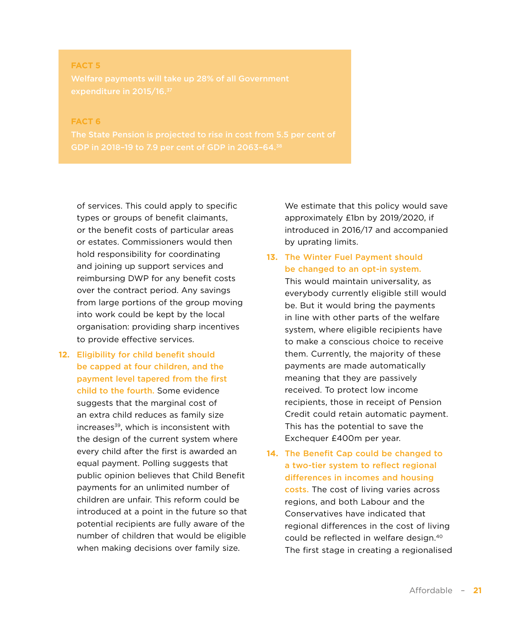### **FACT 5** Welfare payments will take up 28% of all Government expenditure in 2015/16.37

#### **FACT 6**

of services. This could apply to specific types or groups of benefit claimants, or the benefit costs of particular areas or estates. Commissioners would then hold responsibility for coordinating and joining up support services and reimbursing DWP for any benefit costs over the contract period. Any savings from large portions of the group moving into work could be kept by the local organisation: providing sharp incentives to provide effective services.

**12.** Eligibility for child benefit should be capped at four children, and the payment level tapered from the first child to the fourth. Some evidence suggests that the marginal cost of an extra child reduces as family size increases<sup>39</sup>, which is inconsistent with the design of the current system where every child after the first is awarded an equal payment. Polling suggests that public opinion believes that Child Benefit payments for an unlimited number of children are unfair. This reform could be introduced at a point in the future so that potential recipients are fully aware of the number of children that would be eligible when making decisions over family size.

We estimate that this policy would save approximately £1bn by 2019/2020, if introduced in 2016/17 and accompanied by uprating limits.

**13.** The Winter Fuel Payment should be changed to an opt-in system.

This would maintain universality, as everybody currently eligible still would be. But it would bring the payments in line with other parts of the welfare system, where eligible recipients have to make a conscious choice to receive them. Currently, the majority of these payments are made automatically meaning that they are passively received. To protect low income recipients, those in receipt of Pension Credit could retain automatic payment. This has the potential to save the Exchequer £400m per year.

**14.** The Benefit Cap could be changed to a two-tier system to reflect regional differences in incomes and housing costs. The cost of living varies across regions, and both Labour and the Conservatives have indicated that regional differences in the cost of living could be reflected in welfare design.40 The first stage in creating a regionalised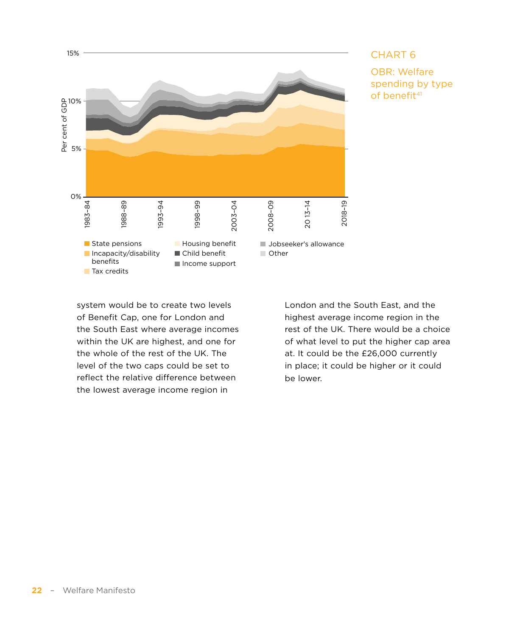

### CHART 6

OBR: Welfare spending by type of benefit<sup>41</sup>

system would be to create two levels of Benefit Cap, one for London and the South East where average incomes within the UK are highest, and one for the whole of the rest of the UK. The level of the two caps could be set to reflect the relative difference between the lowest average income region in

London and the South East, and the highest average income region in the rest of the UK. There would be a choice of what level to put the higher cap area at. It could be the £26,000 currently in place; it could be higher or it could be lower.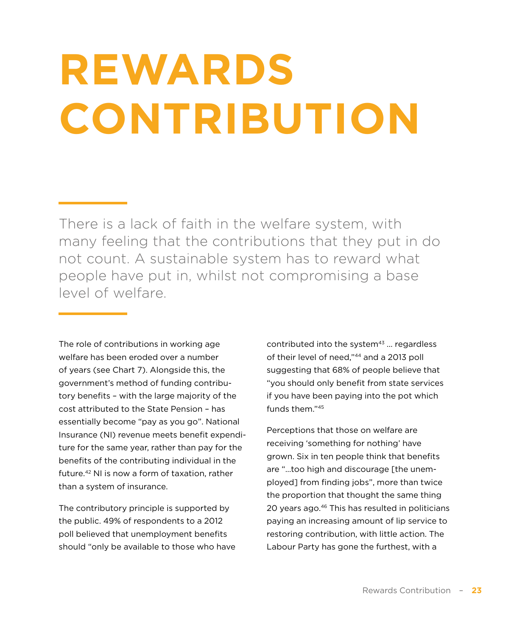# <span id="page-22-0"></span>**REWARDS CONTRIBUTION**

There is a lack of faith in the welfare system, with many feeling that the contributions that they put in do not count. A sustainable system has to reward what people have put in, whilst not compromising a base level of welfare.

The role of contributions in working age welfare has been eroded over a number of years (see Chart 7). Alongside this, the government's method of funding contributory benefits – with the large majority of the cost attributed to the State Pension – has essentially become "pay as you go". National Insurance (NI) revenue meets benefit expenditure for the same year, rather than pay for the benefits of the contributing individual in the future.42 NI is now a form of taxation, rather than a system of insurance.

The contributory principle is supported by the public. 49% of respondents to a 2012 poll believed that unemployment benefits should "only be available to those who have contributed into the system $43$  ... regardless of their level of need,"44 and a 2013 poll suggesting that 68% of people believe that "you should only benefit from state services if you have been paying into the pot which funds them."45

Perceptions that those on welfare are receiving 'something for nothing' have grown. Six in ten people think that benefits are "…too high and discourage [the unemployed] from finding jobs", more than twice the proportion that thought the same thing 20 years ago.<sup>46</sup> This has resulted in politicians paying an increasing amount of lip service to restoring contribution, with little action. The Labour Party has gone the furthest, with a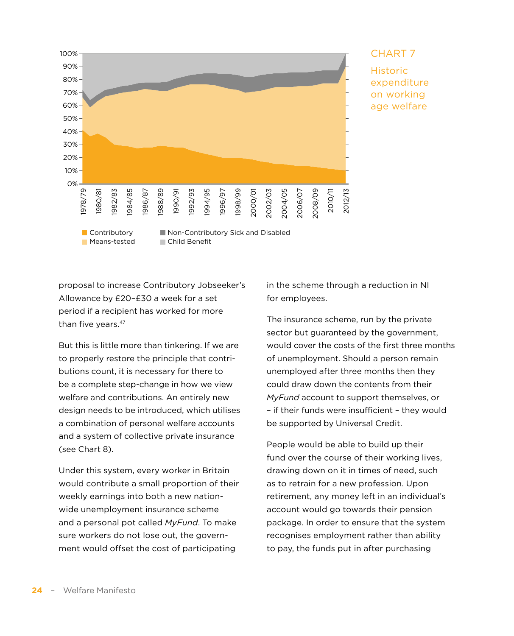

### CHART 7

Historic expenditure on working age welfare

proposal to increase Contributory Jobseeker's Allowance by £20–£30 a week for a set period if a recipient has worked for more than five years.<sup>47</sup>

But this is little more than tinkering. If we are to properly restore the principle that contributions count, it is necessary for there to be a complete step-change in how we view welfare and contributions. An entirely new design needs to be introduced, which utilises a combination of personal welfare accounts and a system of collective private insurance (see Chart 8).

Under this system, every worker in Britain would contribute a small proportion of their weekly earnings into both a new nationwide unemployment insurance scheme and a personal pot called *MyFund*. To make sure workers do not lose out, the government would offset the cost of participating

in the scheme through a reduction in NI for employees.

The insurance scheme, run by the private sector but guaranteed by the government, would cover the costs of the first three months of unemployment. Should a person remain unemployed after three months then they could draw down the contents from their *MyFund* account to support themselves, or – if their funds were insufficient – they would be supported by Universal Credit.

People would be able to build up their fund over the course of their working lives, drawing down on it in times of need, such as to retrain for a new profession. Upon retirement, any money left in an individual's account would go towards their pension package. In order to ensure that the system recognises employment rather than ability to pay, the funds put in after purchasing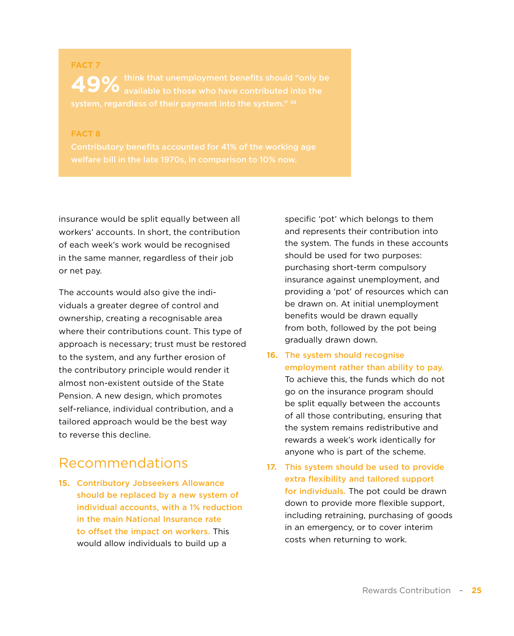<span id="page-24-0"></span>**FACT 7** 49% think that unemployment benefits should "only b<br>available to those who have contributed into the

**FACT 8**

insurance would be split equally between all workers' accounts. In short, the contribution of each week's work would be recognised in the same manner, regardless of their job or net pay.

The accounts would also give the individuals a greater degree of control and ownership, creating a recognisable area where their contributions count. This type of approach is necessary; trust must be restored to the system, and any further erosion of the contributory principle would render it almost non-existent outside of the State Pension. A new design, which promotes self-reliance, individual contribution, and a tailored approach would be the best way to reverse this decline.

### Recommendations

**15.** Contributory Jobseekers Allowance should be replaced by a new system of individual accounts, with a 1% reduction in the main National Insurance rate to offset the impact on workers. This would allow individuals to build up a

specific 'pot' which belongs to them and represents their contribution into the system. The funds in these accounts should be used for two purposes: purchasing short-term compulsory insurance against unemployment, and providing a 'pot' of resources which can be drawn on. At initial unemployment benefits would be drawn equally from both, followed by the pot being gradually drawn down.

- **16.** The system should recognise employment rather than ability to pay. To achieve this, the funds which do not go on the insurance program should be split equally between the accounts of all those contributing, ensuring that the system remains redistributive and rewards a week's work identically for anyone who is part of the scheme.
- **17.** This system should be used to provide extra flexibility and tailored support for individuals. The pot could be drawn down to provide more flexible support, including retraining, purchasing of goods in an emergency, or to cover interim costs when returning to work.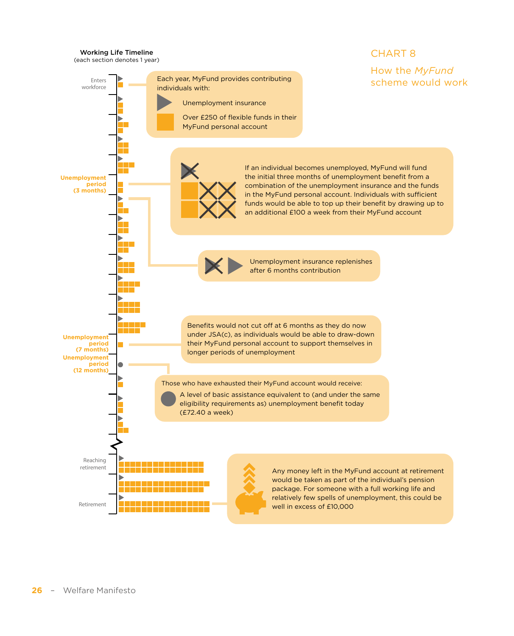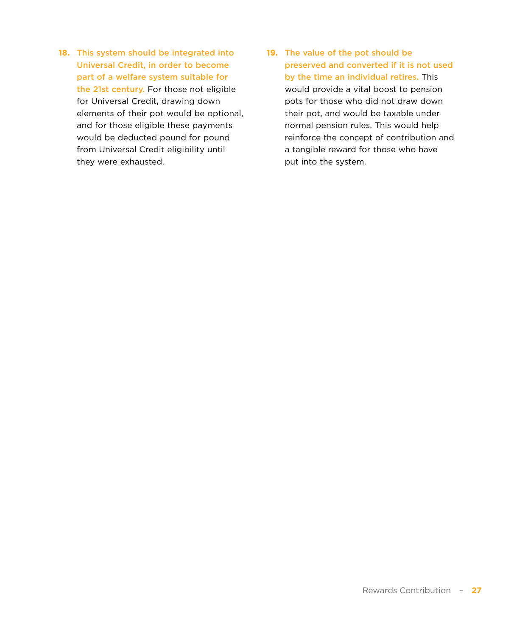- **18.** This system should be integrated into Universal Credit, in order to become part of a welfare system suitable for the 21st century. For those not eligible for Universal Credit, drawing down elements of their pot would be optional, and for those eligible these payments would be deducted pound for pound from Universal Credit eligibility until they were exhausted.
- **19.** The value of the pot should be preserved and converted if it is not used by the time an individual retires. This would provide a vital boost to pension pots for those who did not draw down their pot, and would be taxable under normal pension rules. This would help reinforce the concept of contribution and a tangible reward for those who have put into the system.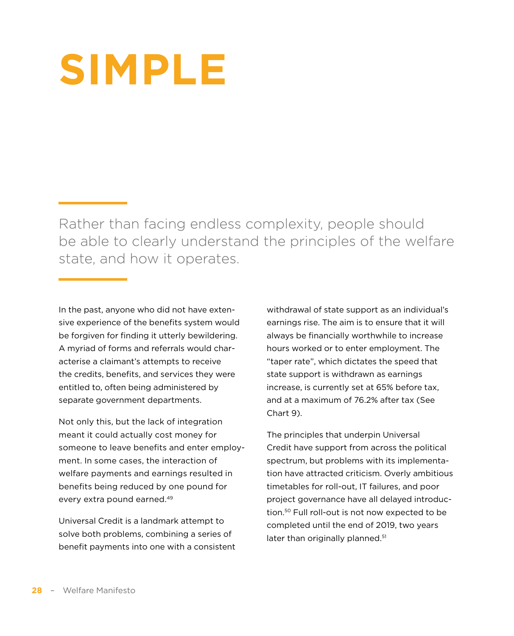## <span id="page-27-0"></span>**SIMPLE**

Rather than facing endless complexity, people should be able to clearly understand the principles of the welfare state, and how it operates.

In the past, anyone who did not have extensive experience of the benefits system would be forgiven for finding it utterly bewildering. A myriad of forms and referrals would characterise a claimant's attempts to receive the credits, benefits, and services they were entitled to, often being administered by separate government departments.

Not only this, but the lack of integration meant it could actually cost money for someone to leave benefits and enter employment. In some cases, the interaction of welfare payments and earnings resulted in benefits being reduced by one pound for every extra pound earned.49

Universal Credit is a landmark attempt to solve both problems, combining a series of benefit payments into one with a consistent withdrawal of state support as an individual's earnings rise. The aim is to ensure that it will always be financially worthwhile to increase hours worked or to enter employment. The "taper rate", which dictates the speed that state support is withdrawn as earnings increase, is currently set at 65% before tax, and at a maximum of 76.2% after tax (See Chart 9).

The principles that underpin Universal Credit have support from across the political spectrum, but problems with its implementation have attracted criticism. Overly ambitious timetables for roll-out, IT failures, and poor project governance have all delayed introduction.50 Full roll-out is not now expected to be completed until the end of 2019, two years later than originally planned.<sup>51</sup>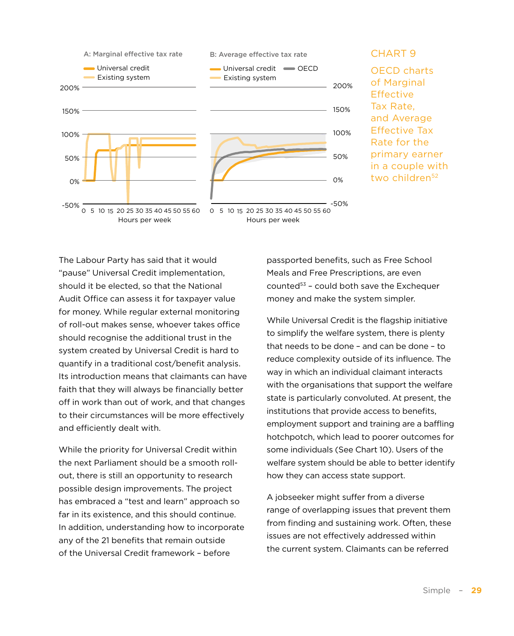

#### CHART 9

OECD charts of Marginal **Effective** Tax Rate, and Average Effective Tax Rate for the primary earner in a couple with two children<sup>52</sup>

The Labour Party has said that it would "pause" Universal Credit implementation, should it be elected, so that the National Audit Office can assess it for taxpayer value for money. While regular external monitoring of roll-out makes sense, whoever takes office should recognise the additional trust in the system created by Universal Credit is hard to quantify in a traditional cost/benefit analysis. Its introduction means that claimants can have faith that they will always be financially better off in work than out of work, and that changes to their circumstances will be more effectively and efficiently dealt with.

While the priority for Universal Credit within the next Parliament should be a smooth rollout, there is still an opportunity to research possible design improvements. The project has embraced a "test and learn" approach so far in its existence, and this should continue. In addition, understanding how to incorporate any of the 21 benefits that remain outside of the Universal Credit framework – before

passported benefits, such as Free School Meals and Free Prescriptions, are even counted $53$  - could both save the Exchequer money and make the system simpler.

While Universal Credit is the flagship initiative to simplify the welfare system, there is plenty that needs to be done – and can be done – to reduce complexity outside of its influence. The way in which an individual claimant interacts with the organisations that support the welfare state is particularly convoluted. At present, the institutions that provide access to benefits, employment support and training are a baffling hotchpotch, which lead to poorer outcomes for some individuals (See Chart 10). Users of the welfare system should be able to better identify how they can access state support.

A jobseeker might suffer from a diverse range of overlapping issues that prevent them from finding and sustaining work. Often, these issues are not effectively addressed within the current system. Claimants can be referred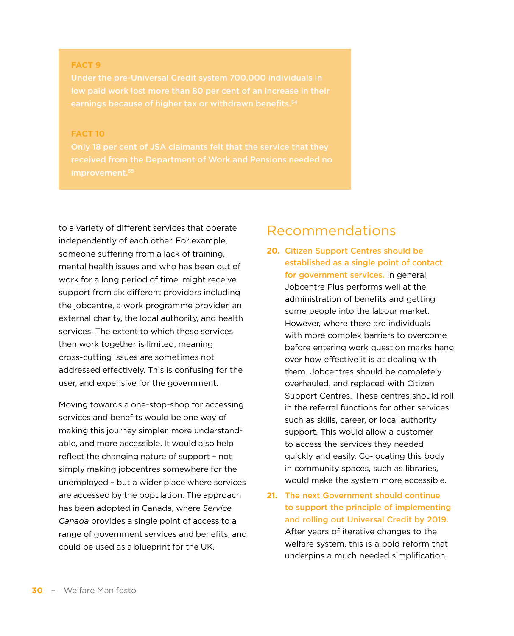#### <span id="page-29-0"></span>**FACT 9**

#### **FACT 10**

to a variety of different services that operate independently of each other. For example, someone suffering from a lack of training, mental health issues and who has been out of work for a long period of time, might receive support from six different providers including the jobcentre, a work programme provider, an external charity, the local authority, and health services. The extent to which these services then work together is limited, meaning cross-cutting issues are sometimes not addressed effectively. This is confusing for the user, and expensive for the government.

Moving towards a one-stop-shop for accessing services and benefits would be one way of making this journey simpler, more understandable, and more accessible. It would also help reflect the changing nature of support – not simply making jobcentres somewhere for the unemployed – but a wider place where services are accessed by the population. The approach has been adopted in Canada, where *Service Canada* provides a single point of access to a range of government services and benefits, and could be used as a blueprint for the UK.

### Recommendations

- **20.** Citizen Support Centres should be established as a single point of contact for government services. In general, Jobcentre Plus performs well at the administration of benefits and getting some people into the labour market. However, where there are individuals with more complex barriers to overcome before entering work question marks hang over how effective it is at dealing with them. Jobcentres should be completely overhauled, and replaced with Citizen Support Centres. These centres should roll in the referral functions for other services such as skills, career, or local authority support. This would allow a customer to access the services they needed quickly and easily. Co-locating this body in community spaces, such as libraries, would make the system more accessible.
- **21.** The next Government should continue to support the principle of implementing and rolling out Universal Credit by 2019. After years of iterative changes to the welfare system, this is a bold reform that underpins a much needed simplification.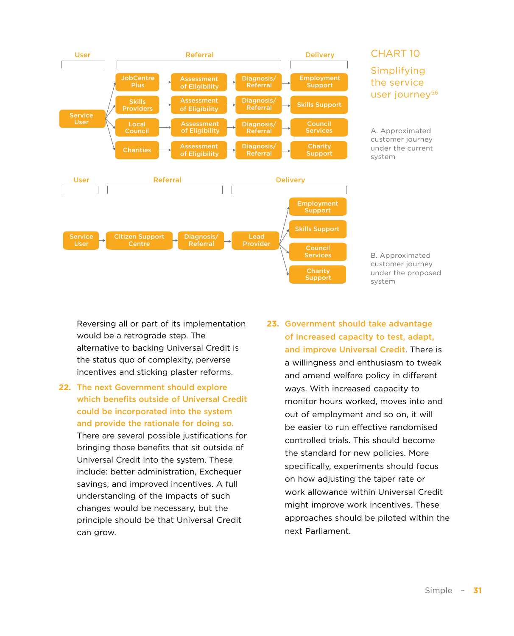

### CHART 10

Simplifying the service user journey<sup>56</sup>

A. Approximated customer journey under the current system

B. Approximated customer journey under the proposed system

Reversing all or part of its implementation would be a retrograde step. The alternative to backing Universal Credit is the status quo of complexity, perverse incentives and sticking plaster reforms.

- **22.** The next Government should explore which benefits outside of Universal Credit could be incorporated into the system and provide the rationale for doing so. There are several possible justifications for bringing those benefits that sit outside of Universal Credit into the system. These include: better administration, Exchequer savings, and improved incentives. A full understanding of the impacts of such changes would be necessary, but the principle should be that Universal Credit can grow.
- **23.** Government should take advantage of increased capacity to test, adapt, and improve Universal Credit. There is a willingness and enthusiasm to tweak and amend welfare policy in different ways. With increased capacity to monitor hours worked, moves into and out of employment and so on, it will be easier to run effective randomised controlled trials. This should become the standard for new policies. More specifically, experiments should focus on how adjusting the taper rate or work allowance within Universal Credit might improve work incentives. These approaches should be piloted within the next Parliament.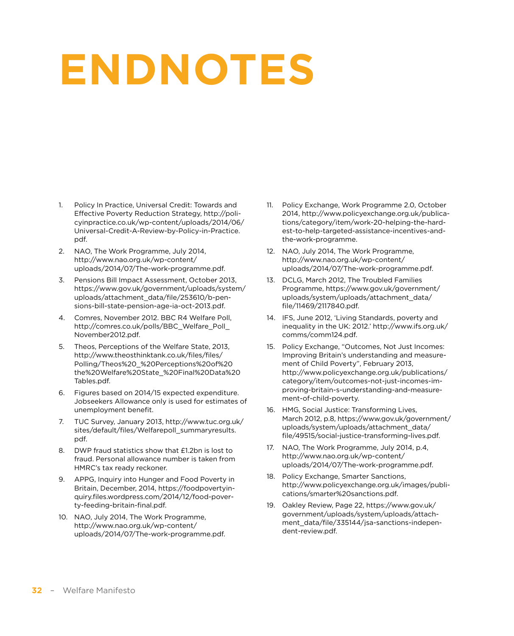## <span id="page-31-0"></span>**ENDNOTES**

- 1. Policy In Practice, Universal Credit: Towards and Effective Poverty Reduction Strategy, [http://poli](http://policyinpractice.co.uk/wp-content/uploads/2014/06/Universal-Credit-A-Review-by-Policy-in-Practice.pdf)[cyinpractice.co.uk/wp-content/uploads/2014/06/](http://policyinpractice.co.uk/wp-content/uploads/2014/06/Universal-Credit-A-Review-by-Policy-in-Practice.pdf) [Universal-Credit-A-Review-by-Policy-in-Practice.](http://policyinpractice.co.uk/wp-content/uploads/2014/06/Universal-Credit-A-Review-by-Policy-in-Practice.pdf) [pdf](http://policyinpractice.co.uk/wp-content/uploads/2014/06/Universal-Credit-A-Review-by-Policy-in-Practice.pdf).
- 2. NAO, The Work Programme, July 2014, [http://www.nao.org.uk/wp-content/](http://www.nao.org.uk/wp-content/uploads/2014/07/The-work-programme.pdf) [uploads/2014/07/The-work-programme.pdf](http://www.nao.org.uk/wp-content/uploads/2014/07/The-work-programme.pdf).
- 3. Pensions Bill Impact Assessment, October 2013, [https://www.gov.uk/government/uploads/system/](https://www.gov.uk/government/uploads/system/uploads/attachment_data/file/253610/b-pensions-bill-state-pension-age-ia-oct-2013.pdf) [uploads/attachment\\_data/file/253610/b-pen](https://www.gov.uk/government/uploads/system/uploads/attachment_data/file/253610/b-pensions-bill-state-pension-age-ia-oct-2013.pdf)[sions-bill-state-pension-age-ia-oct-2013.pdf](https://www.gov.uk/government/uploads/system/uploads/attachment_data/file/253610/b-pensions-bill-state-pension-age-ia-oct-2013.pdf).
- 4. Comres, November 2012. BBC R4 Welfare Poll, http://comres.co.uk/polls/BBC\_Welfare\_Poll [November2012.pdf.](http://comres.co.uk/polls/BBC_Welfare_Poll_November2012.pdf)
- 5. Theos, Perceptions of the Welfare State, 2013, [http://www.theosthinktank.co.uk/files/files/](http://www.theosthinktank.co.uk/files/files/Polling/Theos) [Polling/Theos%](http://www.theosthinktank.co.uk/files/files/Polling/Theos)20\_%20Perceptions%20of%20 the%20Welfare%20State\_%20Final%20Data[%20](20Tables.pdf) [Tables.pdf](20Tables.pdf).
- 6. Figures based on 2014/15 expected expenditure. Jobseekers Allowance only is used for estimates of unemployment benefit.
- 7. TUC Survey, January 2013, [http://www.tuc.org.uk/](http://www.tuc.org.uk/sites/default/files/Welfarepoll_summaryresults.pdf) [sites/default/files/Welfarepoll\\_summaryresults.](http://www.tuc.org.uk/sites/default/files/Welfarepoll_summaryresults.pdf) [pdf](http://www.tuc.org.uk/sites/default/files/Welfarepoll_summaryresults.pdf).
- 8. DWP fraud statistics show that £1.2bn is lost to fraud. Personal allowance number is taken from HMRC's tax ready reckoner.
- 9. APPG, Inquiry into Hunger and Food Poverty in Britain, December, 2014, [https://foodpovertyin](https://foodpovertyinquiry.files.wordpress.com/2014/12/food-poverty-feeding-britain-final.pdf)[quiry.files.wordpress.com/2014/12/food-pover](https://foodpovertyinquiry.files.wordpress.com/2014/12/food-poverty-feeding-britain-final.pdf)[ty-feeding-britain-final.pdf](https://foodpovertyinquiry.files.wordpress.com/2014/12/food-poverty-feeding-britain-final.pdf).
- 10. NAO, July 2014, The Work Programme, [http://www.nao.org.uk/wp-content/](http://www.nao.org.uk/wp-content/uploads/2014/07/The-work-programme.pdf) [uploads/2014/07/The-work-programme.pdf](http://www.nao.org.uk/wp-content/uploads/2014/07/The-work-programme.pdf).
- 11. Policy Exchange, Work Programme 2.0, October 2014, [http://www.policyexchange.org.uk/publica](http://www.policyexchange.org.uk/publications/category/item/work-20-helping-the-hardest-to-help-targeted-assistance-incentives-and-the-work-programme)[tions/category/item/work](http://www.policyexchange.org.uk/publications/category/item/work-20-helping-the-hardest-to-help-targeted-assistance-incentives-and-the-work-programme)-20-helping-the-hardest-to-help-targeted-assistance-incentives-andthe-work-programme.
- 12. NAO, July 2014, The Work Programme, [http://www.nao.org.uk/wp-content/](http://www.nao.org.uk/wp-content/uploads/2014/07/The-work-programme.pdf) [uploads/2014/07/The-work-programme.pdf](http://www.nao.org.uk/wp-content/uploads/2014/07/The-work-programme.pdf).
- 13. DCLG, March 2012, The Troubled Families Programme, [https://www.gov.uk/government/](https://www.gov.uk/government/uploads/system/uploads/attachment_data/file/11469/2117840.pdf) [uploads/system/uploads/attachment\\_data/](https://www.gov.uk/government/uploads/system/uploads/attachment_data/file/11469/2117840.pdf) [file/11469/2117840.pdf](https://www.gov.uk/government/uploads/system/uploads/attachment_data/file/11469/2117840.pdf).
- 14. IFS, June 2012, 'Living Standards, poverty and inequality in the UK: 2012.' [http://www.ifs.org.uk/](http://www.ifs.org.uk/comms/comm124.pdf) [comms/comm124.pdf](http://www.ifs.org.uk/comms/comm124.pdf).
- 15. Policy Exchange, "Outcomes, Not Just Incomes: Improving Britain's understanding and measurement of Child Poverty", February 2013, [http://www.policyexchange.org.uk/publications/](http://www.policyexchange.org.uk/publications/category/item/outcomes-not-just-incomes-improving-britain-s-understanding-and-measurement-of-child-poverty) [category/item/outcomes](http://www.policyexchange.org.uk/publications/category/item/outcomes-not-just-incomes-improving-britain-s-understanding-and-measurement-of-child-poverty)-not-just-incomes-improving-britain-s-understanding-and-measurement-of-child-poverty.
- 16. HMG, Social Justice: Transforming Lives, March 2012, p.8, [https://www.gov.uk/government/](https://www.gov.uk/government/uploads/system/uploads/attachment_data/file/49515/social-justice-transforming-lives.pdf) [uploads/system/uploads/attachment\\_data/](https://www.gov.uk/government/uploads/system/uploads/attachment_data/file/49515/social-justice-transforming-lives.pdf) [file/49515/social-justice-transforming-lives.pdf.](https://www.gov.uk/government/uploads/system/uploads/attachment_data/file/49515/social-justice-transforming-lives.pdf)
- 17. NAO, The Work Programme, July 2014, p.4, [http://www.nao.org.uk/wp-content/](http://www.nao.org.uk/wp-content/uploads/2014/07/The-work-programme.pdf) [uploads/2014/07/The-work-programme.pdf](http://www.nao.org.uk/wp-content/uploads/2014/07/The-work-programme.pdf).
- 18. Policy Exchange, Smarter Sanctions, [http://www.policyexchange.org.uk/images/publi](http://www.policyexchange.org.uk/images/publications/smarter)[cations/smarter](http://www.policyexchange.org.uk/images/publications/smarter)[%20sanctions.pdf](20sanctions.pdf).
- 19. Oakley Review, Page 22, [https://www.gov.uk/](https://www.gov.uk/government/uploads/system/uploads/attachment_data/file/335144/jsa-sanctions-independent-review.pdf) [government/uploads/system/uploads/attach](https://www.gov.uk/government/uploads/system/uploads/attachment_data/file/335144/jsa-sanctions-independent-review.pdf)[ment\\_data/file/335144/jsa-sanctions-indepen](https://www.gov.uk/government/uploads/system/uploads/attachment_data/file/335144/jsa-sanctions-independent-review.pdf)[dent-review.pdf.](https://www.gov.uk/government/uploads/system/uploads/attachment_data/file/335144/jsa-sanctions-independent-review.pdf)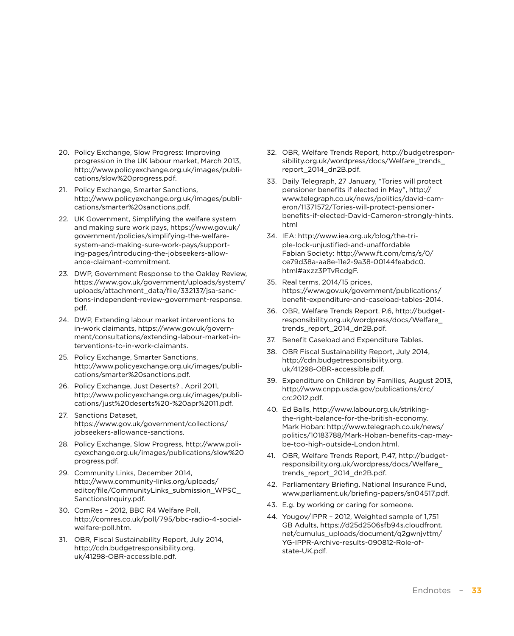- 20. Policy Exchange, Slow Progress: Improving progression in the UK labour market, March 2013, [http://www.policyexchange.org.uk/images/publi](http://www.policyexchange.org.uk/images/publications/slow)[cations/slow%](http://www.policyexchange.org.uk/images/publications/slow)[20progress.pdf.](20progress.pdf)
- 21. Policy Exchange, Smarter Sanctions, [http://www.policyexchange.org.uk/images/publi](http://www.policyexchange.org.uk/images/publications/smarter)[cations/smarter%](http://www.policyexchange.org.uk/images/publications/smarter)<20sanctions.pdf>.
- 22. UK Government, Simplifying the welfare system and making sure work pays, [https://www.gov.uk/](https://www.gov.uk/government/policies/simplifying-the-welfare-system-and-making-sure-work-pays/supporting-pages/introducing-the-jobseekers-allowance-claimant-commitment) [government/policies/simplifying-the-welfare](https://www.gov.uk/government/policies/simplifying-the-welfare-system-and-making-sure-work-pays/supporting-pages/introducing-the-jobseekers-allowance-claimant-commitment)[system-and-making-sure-work-pays/support](https://www.gov.uk/government/policies/simplifying-the-welfare-system-and-making-sure-work-pays/supporting-pages/introducing-the-jobseekers-allowance-claimant-commitment)[ing-pages/introducing](https://www.gov.uk/government/policies/simplifying-the-welfare-system-and-making-sure-work-pays/supporting-pages/introducing-the-jobseekers-allowance-claimant-commitment)-the-jobseekers-allowance-claimant-commitment.
- 23. DWP, Government Response to the Oakley Review, [https://www.gov.uk/government/uploads/system/](https://www.gov.uk/government/uploads/system/uploads/attachment_data/file/332137/jsa-sanctions-independent-review-government-response.pdf) [uploads/attachment\\_data/file/332137/jsa-sanc](https://www.gov.uk/government/uploads/system/uploads/attachment_data/file/332137/jsa-sanctions-independent-review-government-response.pdf)[tions-independent-review-government-response.](https://www.gov.uk/government/uploads/system/uploads/attachment_data/file/332137/jsa-sanctions-independent-review-government-response.pdf) [pdf](https://www.gov.uk/government/uploads/system/uploads/attachment_data/file/332137/jsa-sanctions-independent-review-government-response.pdf).
- 24. DWP, Extending labour market interventions to in-work claimants, [https://www.gov.uk/govern](https://www.gov.uk/government/consultations/extending-labour-market-interventions-to-in-work-claimants)[ment/consultations/extending-](https://www.gov.uk/government/consultations/extending-labour-market-interventions-to-in-work-claimants)labour-market-interventions-to-in-work-claimants.
- 25. Policy Exchange, Smarter Sanctions, [http://www.policyexchange.org.uk/images/publi](http://www.policyexchange.org.uk/images/publications/smarter)[cations/smarter%](http://www.policyexchange.org.uk/images/publications/smarter)<20sanctions.pdf>.
- 26. Policy Exchange, Just Deserts? , April 2011, [http://www.policyexchange.org.uk/images/publi](http://www.policyexchange.org.uk/images/publications/just%20deserts%20-%20apr%2011.pdf)[cations/just%20deserts%20-%20apr%2011.pdf](http://www.policyexchange.org.uk/images/publications/just%20deserts%20-%20apr%2011.pdf).
- 27. Sanctions Dataset, [https://www.gov.uk/government/collections/](https://www.gov.uk/government/collections/jobseekers-allowance-sanctions) [jobseekers](https://www.gov.uk/government/collections/jobseekers-allowance-sanctions)-allowance-sanctions.
- 28. Policy Exchange, Slow Progress, [http://www.poli](http://www.policyexchange.org.uk/images/publications/slow)[cyexchange.org.uk/images/publications/slow](http://www.policyexchange.org.uk/images/publications/slow)[%20](20progress.pdf) [progress.pdf.](20progress.pdf)
- 29. Community Links, December 2014, [http://www.community-links.org/uploads/](http://www.community-links.org/uploads/editor/file/CommunityLinks_submission_WPSC_SanctionsInquiry.pdf) [editor/file/CommunityLinks\\_submission\\_WPSC\\_](http://www.community-links.org/uploads/editor/file/CommunityLinks_submission_WPSC_SanctionsInquiry.pdf) [SanctionsInquiry.pdf.](http://www.community-links.org/uploads/editor/file/CommunityLinks_submission_WPSC_SanctionsInquiry.pdf)
- 30. ComRes 2012, BBC R4 Welfare Poll, [http://comres.co.uk/poll/795/bbc-radio-4-social](http://comres.co.uk/poll/795/bbc-radio-4-social-welfare-poll.htm)[welfare-poll.htm](http://comres.co.uk/poll/795/bbc-radio-4-social-welfare-poll.htm).
- 31. OBR, Fiscal Sustainability Report, July 2014, [http://cdn.budgetresponsibility.org.](http://cdn.budgetresponsibility.org.uk/41298-OBR-accessible.pdf) [uk/41298-OBR-accessible.pdf](http://cdn.budgetresponsibility.org.uk/41298-OBR-accessible.pdf).
- 32. OBR, Welfare Trends Report, [http://budgetrespon](http://budgetresponsibility.org.uk/wordpress/docs/Welfare_trends_report_2014_dn2B.pdf)[sibility.org.uk/wordpress/docs/Welfare\\_trends\\_](http://budgetresponsibility.org.uk/wordpress/docs/Welfare_trends_report_2014_dn2B.pdf) [report\\_2014\\_dn2B.pdf.](http://budgetresponsibility.org.uk/wordpress/docs/Welfare_trends_report_2014_dn2B.pdf)
- 33. Daily Telegraph, 27 January, "Tories will protect pensioner benefits if elected in May", [http://](http://www.telegraph.co.uk/news/politics/david-cameron/11371572/Tories-will-protect-pensioner-benefits-if-elected-David-Cameron-strongly-hints.html) [www.telegraph.co.uk/news/politics/david-cam](http://www.telegraph.co.uk/news/politics/david-cameron/11371572/Tories-will-protect-pensioner-benefits-if-elected-David-Cameron-strongly-hints.html)[eron/11371572/Tories-will-protect-pensioner](http://www.telegraph.co.uk/news/politics/david-cameron/11371572/Tories-will-protect-pensioner-benefits-if-elected-David-Cameron-strongly-hints.html)[benefits-if-elected-David-Cameron-strongly-hints.](http://www.telegraph.co.uk/news/politics/david-cameron/11371572/Tories-will-protect-pensioner-benefits-if-elected-David-Cameron-strongly-hints.html) [html](http://www.telegraph.co.uk/news/politics/david-cameron/11371572/Tories-will-protect-pensioner-benefits-if-elected-David-Cameron-strongly-hints.html)
- 34. IEA: <http://www.iea.org.uk/blog/the>-triple-lock-unjustified-and-unaffordable Fabian Society: [http://www.ft.com/cms/s/0/](http://www.ft.com/cms/s/0/ce79d38a-aa8e-11e2-9a38-00144feabdc0.html) [ce79d38a-aa8e-11e2-9a38-00144feabdc0.](http://www.ft.com/cms/s/0/ce79d38a-aa8e-11e2-9a38-00144feabdc0.html) [html#](http://www.ft.com/cms/s/0/ce79d38a-aa8e-11e2-9a38-00144feabdc0.html)axzz3PTvRcdgF.
- 35. Real terms, 2014/15 prices, [https://www.gov.uk/government/publications/](https://www.gov.uk/government/publications/benefit-expenditure-and-caseload-tables-2014) [benefit-](https://www.gov.uk/government/publications/benefit-expenditure-and-caseload-tables-2014)expenditure-and-caseload-tables-2014.
- 36. OBR, Welfare Trends Report, P.6, [http://budget](http://budgetresponsibility.org.uk/wordpress/docs/Welfare_trends_report_2014_dn2B.pdf)[responsibility.org.uk/wordpress/docs/Welfare\\_](http://budgetresponsibility.org.uk/wordpress/docs/Welfare_trends_report_2014_dn2B.pdf) [trends\\_report\\_2014\\_dn2B.pdf](http://budgetresponsibility.org.uk/wordpress/docs/Welfare_trends_report_2014_dn2B.pdf).
- 37. Benefit Caseload and Expenditure Tables.
- 38. OBR Fiscal Sustainability Report, July 2014, [http://cdn.budgetresponsibility.org.](http://cdn.budgetresponsibility.org.uk/41298-OBR-accessible.pdf) [uk/41298-OBR-accessible.pdf](http://cdn.budgetresponsibility.org.uk/41298-OBR-accessible.pdf).
- 39. Expenditure on Children by Families, August 2013, [http://www.cnpp.usda.gov/publications/crc/](http://www.cnpp.usda.gov/publications/crc/crc2012.pdf) [crc2012.pdf](http://www.cnpp.usda.gov/publications/crc/crc2012.pdf).
- 40. Ed Balls, [http://www.labour.org.uk/striking](http://www.labour.org.uk/striking-the-right-balance-for-the-british-economy)the-right-balance-for-the-british-economy. Mark Hoban: [http://www.telegraph.co.uk/news/](http://www.telegraph.co.uk/news/politics/10183788/Mark-Hoban-benefits-cap-may-be-too-high-outside-London.html) [politics/10183788/Mark-Hoban-benefits-cap-may](http://www.telegraph.co.uk/news/politics/10183788/Mark-Hoban-benefits-cap-may-be-too-high-outside-London.html)[be-too-high-outside-London.html](http://www.telegraph.co.uk/news/politics/10183788/Mark-Hoban-benefits-cap-may-be-too-high-outside-London.html).
- 41. OBR, Welfare Trends Report, P.47, [http://budget](http://budgetresponsibility.org.uk/wordpress/docs/Welfare_trends_report_2014_dn2B.pdf)[responsibility.org.uk/wordpress/docs/Welfare\\_](http://budgetresponsibility.org.uk/wordpress/docs/Welfare_trends_report_2014_dn2B.pdf) [trends\\_report\\_2014\\_dn2B.pdf](http://budgetresponsibility.org.uk/wordpress/docs/Welfare_trends_report_2014_dn2B.pdf).
- 42. Parliamentary Briefing. National Insurance Fund, <www.parliament.uk/briefing-papers/sn04517.pdf>.
- 43. E.g. by working or caring for someone.
- 44. Yougov/IPPR 2012, Weighted sample of 1,751 GB Adults, [https://d25d2506sfb94s.cloudfront.](https://d25d2506sfb94s.cloudfront.net/cumulus_uploads/document/q2gwnjvttm/YG-IPPR-Archive-results-090812-Role-of-state-UK.pdf) [net/cumulus\\_uploads/document/q2gwnjvttm/](https://d25d2506sfb94s.cloudfront.net/cumulus_uploads/document/q2gwnjvttm/YG-IPPR-Archive-results-090812-Role-of-state-UK.pdf) [YG-IPPR-Archive-results-090812-Role-of](https://d25d2506sfb94s.cloudfront.net/cumulus_uploads/document/q2gwnjvttm/YG-IPPR-Archive-results-090812-Role-of-state-UK.pdf)[state-UK.pdf.](https://d25d2506sfb94s.cloudfront.net/cumulus_uploads/document/q2gwnjvttm/YG-IPPR-Archive-results-090812-Role-of-state-UK.pdf)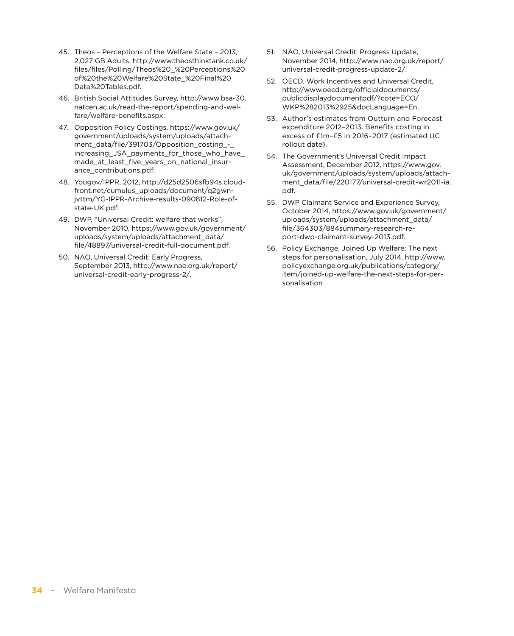- 45. Theos Perceptions of the Welfare State 2013, 2,027 GB Adults, [http://www.theosthinktank.co.uk/](http://www.theosthinktank.co.uk/files/files/Polling/Theos) [files/files/Polling/Theos%](http://www.theosthinktank.co.uk/files/files/Polling/Theos)20\_%20Perceptions%20 of%20the%20Welfare%20State\_%20Final%20 Data[%20Tables.pdf](20Tables.pdf).
- 46. British Social Attitudes Survey, [http://www.bsa-30.](http://www.bsa-30.natcen.ac.uk/read-the-report/spending-and-welfare/welfare-benefits.aspx) [natcen.ac.uk/read-the-report/spending-and-wel](http://www.bsa-30.natcen.ac.uk/read-the-report/spending-and-welfare/welfare-benefits.aspx)[fare/welfare-benefits.aspx](http://www.bsa-30.natcen.ac.uk/read-the-report/spending-and-welfare/welfare-benefits.aspx).
- 47. Opposition Policy Costings, [https://www.gov.uk/](https://www.gov.uk/government/uploads/system/uploads/attachment_data/file/391703/Opposition_costing_-_increasing_JSA_payments_for_those_who_have_made_at_least_five_years_on_national_insurance_contributions.pdf) [government/uploads/system/uploads/attach](https://www.gov.uk/government/uploads/system/uploads/attachment_data/file/391703/Opposition_costing_-_increasing_JSA_payments_for_those_who_have_made_at_least_five_years_on_national_insurance_contributions.pdf)[ment\\_data/file/391703/Opposition\\_costing\\_-\\_](https://www.gov.uk/government/uploads/system/uploads/attachment_data/file/391703/Opposition_costing_-_increasing_JSA_payments_for_those_who_have_made_at_least_five_years_on_national_insurance_contributions.pdf) [increasing\\_JSA\\_payments\\_for\\_those\\_who\\_have\\_](https://www.gov.uk/government/uploads/system/uploads/attachment_data/file/391703/Opposition_costing_-_increasing_JSA_payments_for_those_who_have_made_at_least_five_years_on_national_insurance_contributions.pdf) [made\\_at\\_least\\_five\\_years\\_on\\_national\\_insur](https://www.gov.uk/government/uploads/system/uploads/attachment_data/file/391703/Opposition_costing_-_increasing_JSA_payments_for_those_who_have_made_at_least_five_years_on_national_insurance_contributions.pdf)[ance\\_contributions.pdf.](https://www.gov.uk/government/uploads/system/uploads/attachment_data/file/391703/Opposition_costing_-_increasing_JSA_payments_for_those_who_have_made_at_least_five_years_on_national_insurance_contributions.pdf)
- 48. Yougov/IPPR, 2012, [http://d25d2506sfb94s.cloud](http://d25d2506sfb94s.cloudfront.net/cumulus_uploads/document/q2gwnjvttm/YG-IPPR-Archive-results-090812-Role-of-state-UK.pdf)[front.net/cumulus\\_uploads/document/q2gwn](http://d25d2506sfb94s.cloudfront.net/cumulus_uploads/document/q2gwnjvttm/YG-IPPR-Archive-results-090812-Role-of-state-UK.pdf)[jvttm/YG-IPPR-Archive-results-090812-Role-of](http://d25d2506sfb94s.cloudfront.net/cumulus_uploads/document/q2gwnjvttm/YG-IPPR-Archive-results-090812-Role-of-state-UK.pdf)[state-UK.pdf.](http://d25d2506sfb94s.cloudfront.net/cumulus_uploads/document/q2gwnjvttm/YG-IPPR-Archive-results-090812-Role-of-state-UK.pdf)
- 49. DWP, "Universal Credit: welfare that works", November 2010, [https://www.gov.uk/government/](https://www.gov.uk/government/uploads/system/uploads/attachment_data/file/48897/universal-credit-full-document.pdf) [uploads/system/uploads/attachment\\_data/](https://www.gov.uk/government/uploads/system/uploads/attachment_data/file/48897/universal-credit-full-document.pdf) [file/48897/universal-credit-full-document.pdf.](https://www.gov.uk/government/uploads/system/uploads/attachment_data/file/48897/universal-credit-full-document.pdf)
- 50. NAO, Universal Credit: Early Progress, September 2013, [http://www.nao.org.uk/report/](http://www.nao.org.uk/report/universal) [universal](http://www.nao.org.uk/report/universal)-credit-early-progress-2/.
- 51. NAO, Universal Credit: Progress Update, November 2014, [http://www.nao.org.uk/report/](http://www.nao.org.uk/report/universal) [universal](http://www.nao.org.uk/report/universal)-credit-progress-update-2/.
- 52. OECD, Work Incentives and Universal Credit, [http://www.oecd.org/officialdocuments/](http://www.oecd.org/officialdocuments/publicdisplaydocumentpdf/?cote=ECO/WKP%282013%2925&docLanguage=En) [publicdisplaydocumentpdf/?cote=ECO](http://www.oecd.org/officialdocuments/publicdisplaydocumentpdf/?cote=ECO/WKP%282013%2925&docLanguage=En)/ WKP%282013%2925&docLanguage=En.
- 53. Author's estimates from Outturn and Forecast expenditure 2012–2013. Benefits costing in excess of £1m–£5 in 2016–2017 (estimated UC rollout date).
- 54. The Government's Universal Credit Impact Assessment, December 2012, [https://www.gov.](https://www.gov.uk/government/uploads/system/uploads/attachment_data/file/220177/universal-credit-wr2011-ia.pdf) [uk/government/uploads/system/uploads/attach](https://www.gov.uk/government/uploads/system/uploads/attachment_data/file/220177/universal-credit-wr2011-ia.pdf)[ment\\_data/file/220177/universal-credit-wr2011-ia.](https://www.gov.uk/government/uploads/system/uploads/attachment_data/file/220177/universal-credit-wr2011-ia.pdf) [pdf](https://www.gov.uk/government/uploads/system/uploads/attachment_data/file/220177/universal-credit-wr2011-ia.pdf).
- 55. DWP Claimant Service and Experience Survey, October 2014, [https://www.gov.uk/government/](https://www.gov.uk/government/uploads/system/uploads/attachment_data/file/364303/884summary-research-report-dwp-claimant-survey-2013.pdf) [uploads/system/uploads/attachment\\_data/](https://www.gov.uk/government/uploads/system/uploads/attachment_data/file/364303/884summary-research-report-dwp-claimant-survey-2013.pdf) [file/364303/884summary-research-re](https://www.gov.uk/government/uploads/system/uploads/attachment_data/file/364303/884summary-research-report-dwp-claimant-survey-2013.pdf)[port-dwp-claimant-survey-2013.pdf](https://www.gov.uk/government/uploads/system/uploads/attachment_data/file/364303/884summary-research-report-dwp-claimant-survey-2013.pdf).
- 56. Policy Exchange, Joined Up Welfare: The next steps for personalisation, July 2014, [http://www.](http://www.policyexchange.org.uk/publications/category/item/joined-up-welfare-the-next-steps-for-personalisation) [policyexchange.org.uk/publications/category/](http://www.policyexchange.org.uk/publications/category/item/joined-up-welfare-the-next-steps-for-personalisation) [item/joined-](http://www.policyexchange.org.uk/publications/category/item/joined-up-welfare-the-next-steps-for-personalisation)up-welfare-the-next-steps-for-personalisation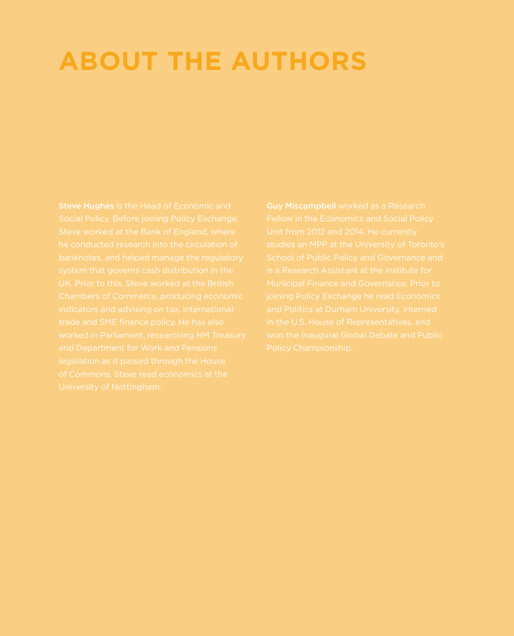## <span id="page-34-0"></span>**ABOUT THE AUTHORS**